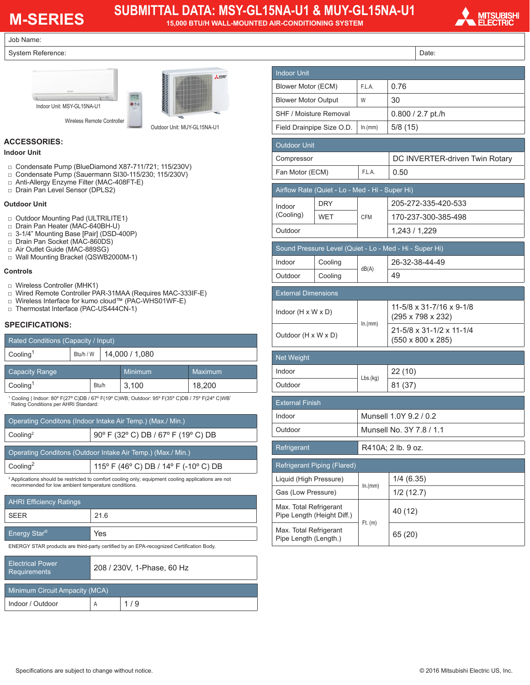# **M-SERIES**

# **SUBMITTAL DATA: MSY-GL15NA-U1 & MUY-GL15NA-U1**

**15,000 BTU/H WALL-MOUNTED AIR-CONDITIONING SYSTEM**



Job Name:

#### System Reference:





Outdoor Unit: MUY-GL15NA-U1

#### **ACCESSORIES:**

#### **Indoor Unit**

- □ Condensate Pump (BlueDiamond X87-711/721; 115/230V)
- □ Condensate Pump (Sauermann SI30-115/230; 115/230V)
- □ Anti-Allergy Enzyme Filter (MAC-408FT-E)
- □ Drain Pan Level Sensor (DPLS2)

#### **Outdoor Unit**

- □ Outdoor Mounting Pad (ULTRILITE1)
- □ Drain Pan Heater (MAC-640BH-U)
- □ 3-1/4" Mounting Base [Pair] (DSD-400P)
- □ Drain Pan Socket (MAC-860DS)
- □ Air Outlet Guide (MAC-889SG)
- □ Wall Mounting Bracket (QSWB2000M-1)

#### **Controls**

- □ Wireless Controller (MHK1)
- □ Wired Remote Controller PAR-31MAA (Requires MAC-333IF-E)
- □ Wireless Interface for kumo cloud™ (PAC-WHS01WF-E)
- □ Thermostat Interface (PAC-US444CN-1)

#### **SPECIFICATIONS:**

| Rated Conditions (Capacity / Input)                                                                                                      |           |       |                |         |  |  |  |
|------------------------------------------------------------------------------------------------------------------------------------------|-----------|-------|----------------|---------|--|--|--|
| Cooling <sup>1</sup>                                                                                                                     | Btu/h / W |       | 14,000 / 1,080 |         |  |  |  |
| <b>Capacity Range</b>                                                                                                                    |           |       | <b>Minimum</b> | Maximum |  |  |  |
| Cooling <sup>1</sup><br>Btu/h                                                                                                            |           | 3.100 | 18.200         |         |  |  |  |
| 1 Cooling   Indoor: 80° F(27° C)DB / 67° F(19° C)WB; Outdoor: 95° F(35° C)DB / 75° F(24° C)WB'<br>* Rating Conditions per AHRI Standard: |           |       |                |         |  |  |  |

| Operating Conditons (Indoor Intake Air Temp.) (Max./ Min.)  |                                       |  |  |  |  |
|-------------------------------------------------------------|---------------------------------------|--|--|--|--|
| Cooling <sup>2</sup>                                        | 90° F (32° C) DB / 67° F (19° C) DB   |  |  |  |  |
|                                                             |                                       |  |  |  |  |
| Operating Conditons (Outdoor Intake Air Temp.) (Max./ Min.) |                                       |  |  |  |  |
| Cooling <sup>2</sup>                                        | 115° F (46° C) DB / 14° F (-10° C) DB |  |  |  |  |
|                                                             |                                       |  |  |  |  |

2 Applications should be restricted to comfort cooling only; equipment cooling applications are not recommended for low ambient temperature conditions.

| <b>AHRI Efficiency Ratings</b> |      |  |  |  |
|--------------------------------|------|--|--|--|
| SFFR                           | 21.6 |  |  |  |
| <b>Energy Star®</b>            | Yes  |  |  |  |

ENERGY STAR products are third-party certified by an EPA-recognized Certification Body.

| <b>Electrical Power</b><br><b>Requirements</b> | 208 / 230V, 1-Phase, 60 Hz |     |  |  |
|------------------------------------------------|----------------------------|-----|--|--|
| Minimum Circuit Ampacity (MCA)                 |                            |     |  |  |
| Indoor / Outdoor                               | Α                          | 1/9 |  |  |

|                                                      |                                                 |                          | Date:                                                     |  |
|------------------------------------------------------|-------------------------------------------------|--------------------------|-----------------------------------------------------------|--|
| <b>Indoor Unit</b>                                   |                                                 |                          |                                                           |  |
| Blower Motor (ECM)                                   |                                                 | F.L.A.                   | 0.76                                                      |  |
|                                                      | <b>Blower Motor Output</b>                      |                          | 30                                                        |  |
| SHF / Moisture Removal                               |                                                 |                          | $0.800 / 2.7$ pt./h                                       |  |
|                                                      | Field Drainpipe Size O.D.                       | ln.(mm)                  | 5/8(15)                                                   |  |
| <b>Outdoor Unit</b>                                  |                                                 |                          |                                                           |  |
| Compressor                                           |                                                 |                          | DC INVERTER-driven Twin Rotary                            |  |
| Fan Motor (ECM)                                      |                                                 | F.L.A.                   | 0.50                                                      |  |
|                                                      | Airflow Rate (Quiet - Lo - Med - Hi - Super Hi) |                          |                                                           |  |
| Indoor                                               | <b>DRY</b>                                      |                          | 205-272-335-420-533                                       |  |
| (Cooling)                                            | <b>WET</b>                                      | <b>CFM</b>               | 170-237-300-385-498                                       |  |
| Outdoor                                              |                                                 |                          | 1,243 / 1,229                                             |  |
|                                                      |                                                 |                          | Sound Pressure Level (Quiet - Lo - Med - Hi - Super Hi)   |  |
| Indoor                                               | Cooling                                         | dB(A)                    | 26-32-38-44-49                                            |  |
| Outdoor                                              | Cooling                                         |                          | 49                                                        |  |
| <b>External Dimensions</b>                           |                                                 |                          |                                                           |  |
|                                                      | Indoor $(H \times W \times D)$                  |                          | 11-5/8 x 31-7/16 x 9-1/8<br>$(295 \times 798 \times 232)$ |  |
| Outdoor (H x W x D)                                  |                                                 | ln.(mm)                  | 21-5/8 x 31-1/2 x 11-1/4<br>(550 x 800 x 285)             |  |
| <b>Net Weight</b>                                    |                                                 |                          |                                                           |  |
| Indoor                                               |                                                 |                          | 22 (10)                                                   |  |
| Outdoor                                              |                                                 | Lbs.(kg)                 | 81 (37)                                                   |  |
| <b>External Finish</b>                               |                                                 |                          |                                                           |  |
| Indoor                                               |                                                 | Munsell 1.0Y 9.2 / 0.2   |                                                           |  |
| Outdoor                                              |                                                 | Munsell No. 3Y 7.8 / 1.1 |                                                           |  |
| Refrigerant                                          |                                                 |                          | R410A; 2 lb. 9 oz.                                        |  |
| Refrigerant Piping (Flared)                          |                                                 |                          |                                                           |  |
| Liquid (High Pressure)                               |                                                 | ln.(mm)                  | 1/4(6.35)                                                 |  |
| Gas (Low Pressure)                                   |                                                 |                          | 1/2(12.7)                                                 |  |
| Max. Total Refrigerant<br>Pipe Length (Height Diff.) |                                                 | $Ft.$ (m)                | 40 (12)                                                   |  |
| Max. Total Refrigerant<br>Pipe Length (Length.)      |                                                 |                          | 65 (20)                                                   |  |